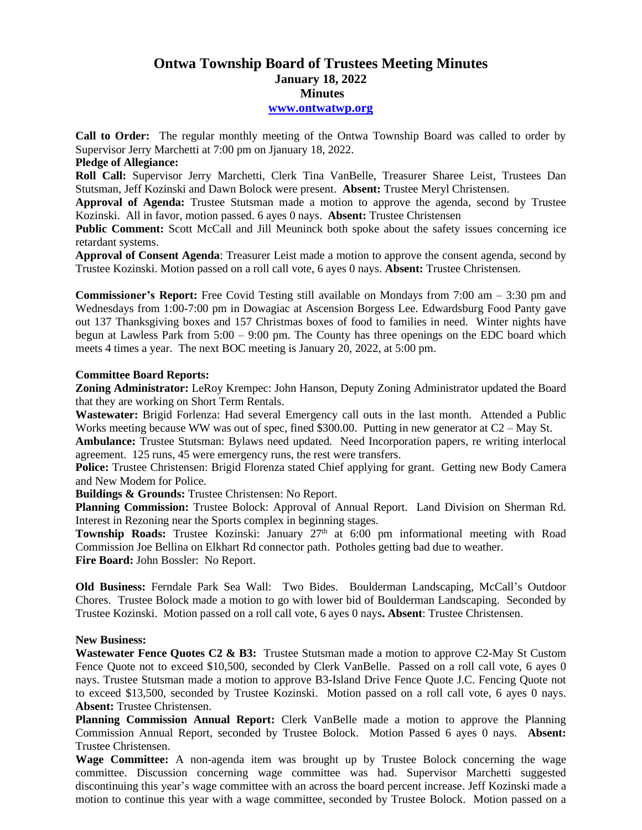# **Ontwa Township Board of Trustees Meeting Minutes January 18, 2022 Minutes**

#### **[www.ontwatwp.org](http://www.ontwatwp.org/)**

**Call to Order:** The regular monthly meeting of the Ontwa Township Board was called to order by Supervisor Jerry Marchetti at 7:00 pm on Jjanuary 18, 2022.

### **Pledge of Allegiance:**

**Roll Call:** Supervisor Jerry Marchetti, Clerk Tina VanBelle, Treasurer Sharee Leist, Trustees Dan Stutsman, Jeff Kozinski and Dawn Bolock were present. **Absent:** Trustee Meryl Christensen.

**Approval of Agenda:** Trustee Stutsman made a motion to approve the agenda, second by Trustee Kozinski. All in favor, motion passed. 6 ayes 0 nays. **Absent:** Trustee Christensen

**Public Comment:** Scott McCall and Jill Meuninck both spoke about the safety issues concerning ice retardant systems.

**Approval of Consent Agenda**: Treasurer Leist made a motion to approve the consent agenda, second by Trustee Kozinski. Motion passed on a roll call vote, 6 ayes 0 nays. **Absent:** Trustee Christensen.

**Commissioner's Report:** Free Covid Testing still available on Mondays from 7:00 am – 3:30 pm and Wednesdays from 1:00-7:00 pm in Dowagiac at Ascension Borgess Lee. Edwardsburg Food Panty gave out 137 Thanksgiving boxes and 157 Christmas boxes of food to families in need. Winter nights have begun at Lawless Park from  $5:00 - 9:00$  pm. The County has three openings on the EDC board which meets 4 times a year. The next BOC meeting is January 20, 2022, at 5:00 pm.

## **Committee Board Reports:**

**Zoning Administrator:** LeRoy Krempec: John Hanson, Deputy Zoning Administrator updated the Board that they are working on Short Term Rentals.

**Wastewater:** Brigid Forlenza: Had several Emergency call outs in the last month. Attended a Public Works meeting because WW was out of spec, fined \$300.00. Putting in new generator at C2 – May St.

**Ambulance:** Trustee Stutsman: Bylaws need updated. Need Incorporation papers, re writing interlocal agreement. 125 runs, 45 were emergency runs, the rest were transfers.

**Police:** Trustee Christensen: Brigid Florenza stated Chief applying for grant. Getting new Body Camera and New Modem for Police.

**Buildings & Grounds:** Trustee Christensen: No Report.

**Planning Commission:** Trustee Bolock: Approval of Annual Report. Land Division on Sherman Rd. Interest in Rezoning near the Sports complex in beginning stages.

**Township Roads:** Trustee Kozinski: January 27<sup>th</sup> at 6:00 pm informational meeting with Road Commission Joe Bellina on Elkhart Rd connector path. Potholes getting bad due to weather. **Fire Board:** John Bossler: No Report.

**Old Business:** Ferndale Park Sea Wall: Two Bides. Boulderman Landscaping, McCall's Outdoor Chores. Trustee Bolock made a motion to go with lower bid of Boulderman Landscaping. Seconded by Trustee Kozinski. Motion passed on a roll call vote, 6 ayes 0 nays**. Absent**: Trustee Christensen.

#### **New Business:**

**Wastewater Fence Quotes C2 & B3:** Trustee Stutsman made a motion to approve C2-May St Custom Fence Quote not to exceed \$10,500, seconded by Clerk VanBelle. Passed on a roll call vote, 6 ayes 0 nays. Trustee Stutsman made a motion to approve B3-Island Drive Fence Quote J.C. Fencing Quote not to exceed \$13,500, seconded by Trustee Kozinski. Motion passed on a roll call vote, 6 ayes 0 nays. **Absent:** Trustee Christensen.

**Planning Commission Annual Report:** Clerk VanBelle made a motion to approve the Planning Commission Annual Report, seconded by Trustee Bolock. Motion Passed 6 ayes 0 nays. **Absent:** Trustee Christensen.

**Wage Committee:** A non-agenda item was brought up by Trustee Bolock concerning the wage committee. Discussion concerning wage committee was had. Supervisor Marchetti suggested discontinuing this year's wage committee with an across the board percent increase. Jeff Kozinski made a motion to continue this year with a wage committee, seconded by Trustee Bolock. Motion passed on a